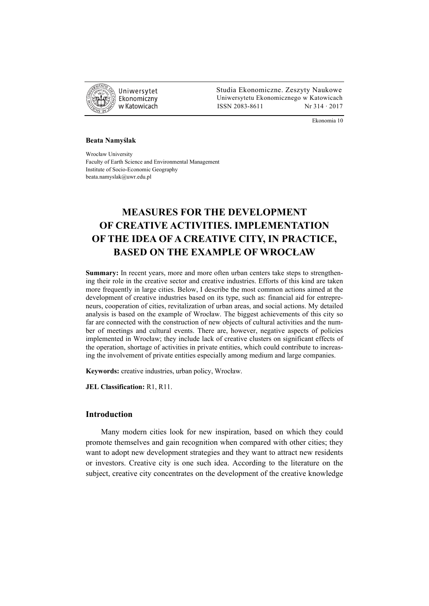

 Studia Ekonomiczne. Zeszyty Naukowe Ekonomiczny Uniwersytetu Ekonomicznego w Katowicach w Katowicach Matsus (ISSN 2083-8611 Nr 314 · 2017

Ekonomia 10

#### **Beata Namyślak**

Wrocław University Faculty of Earth Science and Environmental Management Institute of Socio-Economic Geography beata.namyslak@uwr.edu.pl

# **MEASURES FOR THE DEVELOPMENT OF CREATIVE ACTIVITIES. IMPLEMENTATION OF THE IDEA OF A CREATIVE CITY, IN PRACTICE, BASED ON THE EXAMPLE OF WROCŁAW**

Summary: In recent years, more and more often urban centers take steps to strengthening their role in the creative sector and creative industries. Efforts of this kind are taken more frequently in large cities. Below, I describe the most common actions aimed at the development of creative industries based on its type, such as: financial aid for entrepreneurs, cooperation of cities, revitalization of urban areas, and social actions. My detailed analysis is based on the example of Wrocław. The biggest achievements of this city so far are connected with the construction of new objects of cultural activities and the number of meetings and cultural events. There are, however, negative aspects of policies implemented in Wrocław; they include lack of creative clusters on significant effects of the operation, shortage of activities in private entities, which could contribute to increasing the involvement of private entities especially among medium and large companies.

**Keywords:** creative industries, urban policy, Wrocław.

**JEL Classification:** R1, R11.

# **Introduction**

Many modern cities look for new inspiration, based on which they could promote themselves and gain recognition when compared with other cities; they want to adopt new development strategies and they want to attract new residents or investors. Creative city is one such idea. According to the literature on the subject, creative city concentrates on the development of the creative knowledge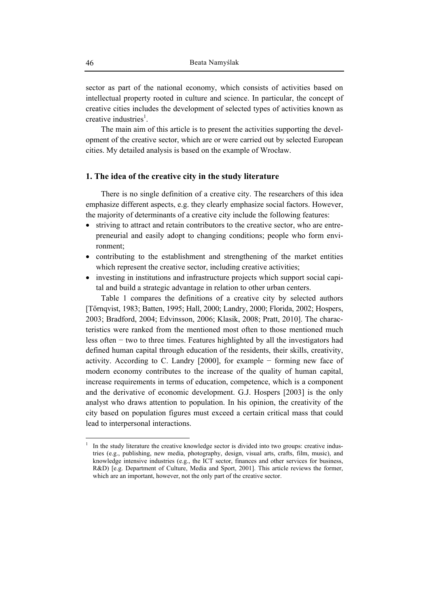sector as part of the national economy, which consists of activities based on intellectual property rooted in culture and science. In particular, the concept of creative cities includes the development of selected types of activities known as creative industries<sup>1</sup>.

The main aim of this article is to present the activities supporting the development of the creative sector, which are or were carried out by selected European cities. My detailed analysis is based on the example of Wrocław.

# **1. The idea of the creative city in the study literature**

There is no single definition of a creative city. The researchers of this idea emphasize different aspects, e.g. they clearly emphasize social factors. However, the majority of determinants of a creative city include the following features:

- striving to attract and retain contributors to the creative sector, who are entrepreneurial and easily adopt to changing conditions; people who form environment;
- contributing to the establishment and strengthening of the market entities which represent the creative sector, including creative activities;
- investing in institutions and infrastructure projects which support social capital and build a strategic advantage in relation to other urban centers.

Table 1 compares the definitions of a creative city by selected authors [Tőrnqvist, 1983; Batten, 1995; Hall, 2000; Landry, 2000; Florida, 2002; Hospers, 2003; Bradford, 2004; Edvinsson, 2006; Klasik, 2008; Pratt, 2010]. The characteristics were ranked from the mentioned most often to those mentioned much less often − two to three times. Features highlighted by all the investigators had defined human capital through education of the residents, their skills, creativity, activity. According to C. Landry [2000], for example − forming new face of modern economy contributes to the increase of the quality of human capital, increase requirements in terms of education, competence, which is a component and the derivative of economic development. G.J. Hospers [2003] is the only analyst who draws attention to population. In his opinion, the creativity of the city based on population figures must exceed a certain critical mass that could lead to interpersonal interactions.

 $\overline{a}$ 1

In the study literature the creative knowledge sector is divided into two groups: creative industries (e.g., publishing, new media, photography, design, visual arts, crafts, film, music), and knowledge intensive industries (e.g., the ICT sector, finances and other services for business, R&D) [e.g. Department of Culture, Media and Sport, 2001]. This article reviews the former, which are an important, however, not the only part of the creative sector.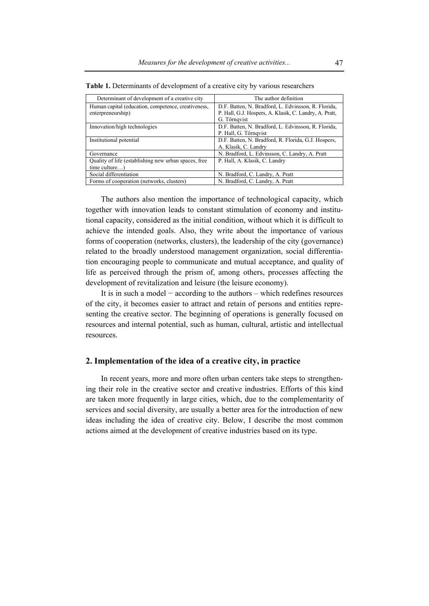| Determinant of development of a creative city        | The author definition                                  |
|------------------------------------------------------|--------------------------------------------------------|
| Human capital (education, competence, creativeness,  | D.F. Batten, N. Bradford, L. Edvinsson, R. Florida,    |
| enterpreneurship)                                    | P. Hall, G.J. Hospers, A. Klasik, C. Landry, A. Pratt, |
|                                                      | G. Törnqvist                                           |
| Innovation/high technologies                         | D.F. Batten, N. Bradford, L. Edvinsson, R. Florida,    |
|                                                      | P. Hall, G. Tőrngvist                                  |
| Institutional potential                              | D.F. Batten, N. Bradford, R. Florida, G.J. Hospers,    |
|                                                      | A. Klasik, C. Landry                                   |
| Governance                                           | N. Bradford, L. Edvinsson, C. Landry, A. Pratt         |
| Quality of life (establishing new urban spaces, free | P. Hall, A. Klasik, C. Landry                          |
| $time$ culture)                                      |                                                        |
| Social differentiation                               | N. Bradford, C. Landry, A. Pratt                       |
| Forms of cooperation (networks, clusters)            | N. Bradford, C. Landry, A. Pratt                       |

**Table 1.** Determinants of development of a creative city by various researchers

The authors also mention the importance of technological capacity, which together with innovation leads to constant stimulation of economy and institutional capacity, considered as the initial condition, without which it is difficult to achieve the intended goals. Also, they write about the importance of various forms of cooperation (networks, clusters), the leadership of the city (governance) related to the broadly understood management organization, social differentiation encouraging people to communicate and mutual acceptance, and quality of life as perceived through the prism of, among others, processes affecting the development of revitalization and leisure (the leisure economy).

It is in such a model − according to the authors – which redefines resources of the city, it becomes easier to attract and retain of persons and entities representing the creative sector. The beginning of operations is generally focused on resources and internal potential, such as human, cultural, artistic and intellectual resources.

# **2. Implementation of the idea of a creative city, in practice**

In recent years, more and more often urban centers take steps to strengthening their role in the creative sector and creative industries. Efforts of this kind are taken more frequently in large cities, which, due to the complementarity of services and social diversity, are usually a better area for the introduction of new ideas including the idea of creative city. Below, I describe the most common actions aimed at the development of creative industries based on its type.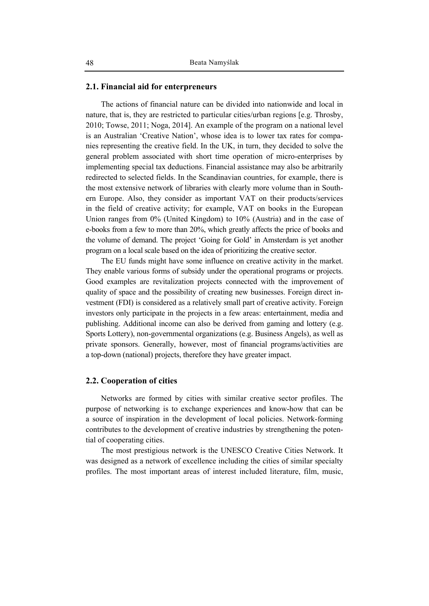### **2.1. Financial aid for enterpreneurs**

The actions of financial nature can be divided into nationwide and local in nature, that is, they are restricted to particular cities/urban regions [e.g. Throsby, 2010; Towse, 2011; Noga, 2014]. An example of the program on a national level is an Australian 'Creative Nation', whose idea is to lower tax rates for companies representing the creative field. In the UK, in turn, they decided to solve the general problem associated with short time operation of micro-enterprises by implementing special tax deductions. Financial assistance may also be arbitrarily redirected to selected fields. In the Scandinavian countries, for example, there is the most extensive network of libraries with clearly more volume than in Southern Europe. Also, they consider as important VAT on their products/services in the field of creative activity; for example, VAT on books in the European Union ranges from 0% (United Kingdom) to 10% (Austria) and in the case of e-books from a few to more than 20%, which greatly affects the price of books and the volume of demand. The project 'Going for Gold' in Amsterdam is yet another program on a local scale based on the idea of prioritizing the creative sector.

The EU funds might have some influence on creative activity in the market. They enable various forms of subsidy under the operational programs or projects. Good examples are revitalization projects connected with the improvement of quality of space and the possibility of creating new businesses. Foreign direct investment (FDI) is considered as a relatively small part of creative activity. Foreign investors only participate in the projects in a few areas: entertainment, media and publishing. Additional income can also be derived from gaming and lottery (e.g. Sports Lottery), non-governmental organizations (e.g. Business Angels), as well as private sponsors. Generally, however, most of financial programs/activities are a top-down (national) projects, therefore they have greater impact.

### **2.2. Cooperation of cities**

Networks are formed by cities with similar creative sector profiles. The purpose of networking is to exchange experiences and know-how that can be a source of inspiration in the development of local policies. Network-forming contributes to the development of creative industries by strengthening the potential of cooperating cities.

The most prestigious network is the UNESCO Creative Cities Network. It was designed as a network of excellence including the cities of similar specialty profiles. The most important areas of interest included literature, film, music,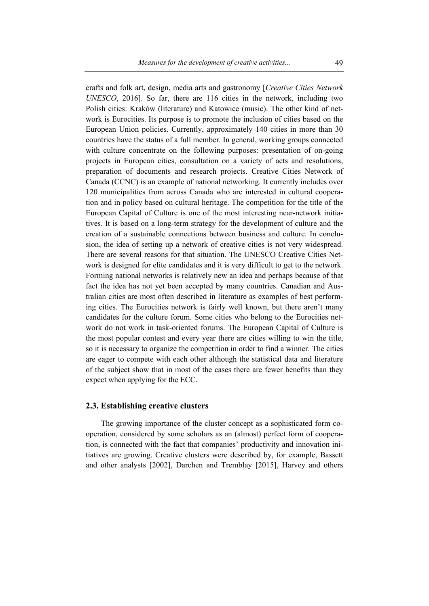crafts and folk art, design, media arts and gastronomy [*Creative Cities Network UNESCO*, 2016]. So far, there are 116 cities in the network, including two Polish cities: Kraków (literature) and Katowice (music). The other kind of network is Eurocities. Its purpose is to promote the inclusion of cities based on the European Union policies. Currently, approximately 140 cities in more than 30 countries have the status of a full member. In general, working groups connected with culture concentrate on the following purposes: presentation of on-going projects in European cities, consultation on a variety of acts and resolutions, preparation of documents and research projects. Creative Cities Network of Canada (CCNC) is an example of national networking. It currently includes over 120 municipalities from across Canada who are interested in cultural cooperation and in policy based on cultural heritage. The competition for the title of the European Capital of Culture is one of the most interesting near-network initiatives. It is based on a long-term strategy for the development of culture and the creation of a sustainable connections between business and culture. In conclusion, the idea of setting up a network of creative cities is not very widespread. There are several reasons for that situation. The UNESCO Creative Cities Network is designed for elite candidates and it is very difficult to get to the network. Forming national networks is relatively new an idea and perhaps because of that fact the idea has not yet been accepted by many countries. Canadian and Australian cities are most often described in literature as examples of best performing cities. The Eurocities network is fairly well known, but there aren't many candidates for the culture forum. Some cities who belong to the Eurocities network do not work in task-oriented forums. The European Capital of Culture is the most popular contest and every year there are cities willing to win the title, so it is necessary to organize the competition in order to find a winner. The cities are eager to compete with each other although the statistical data and literature of the subject show that in most of the cases there are fewer benefits than they expect when applying for the ECC.

# **2.3. Establishing creative clusters**

The growing importance of the cluster concept as a sophisticated form cooperation, considered by some scholars as an (almost) perfect form of cooperation, is connected with the fact that companies' productivity and innovation initiatives are growing. Creative clusters were described by, for example, Bassett and other analysts [2002], Darchen and Tremblay [2015], Harvey and others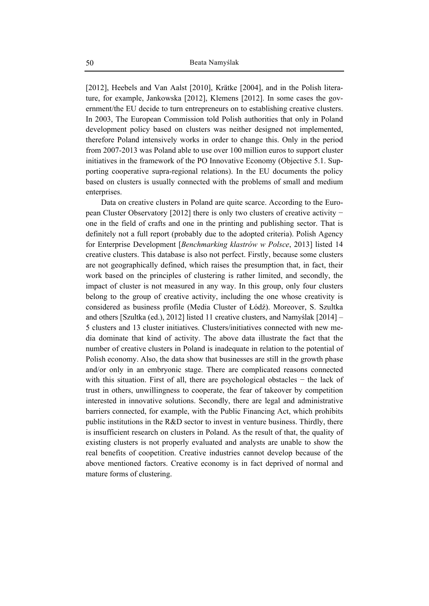[2012], Heebels and Van Aalst [2010], Krätke [2004], and in the Polish literature, for example, Jankowska [2012], Klemens [2012]. In some cases the government/the EU decide to turn entrepreneurs on to establishing creative clusters. In 2003, The European Commission told Polish authorities that only in Poland development policy based on clusters was neither designed not implemented, therefore Poland intensively works in order to change this. Only in the period from 2007-2013 was Poland able to use over 100 million euros to support cluster initiatives in the framework of the PO Innovative Economy (Objective 5.1. Supporting cooperative supra-regional relations). In the EU documents the policy based on clusters is usually connected with the problems of small and medium enterprises.

Data on creative clusters in Poland are quite scarce. According to the European Cluster Observatory [2012] there is only two clusters of creative activity − one in the field of crafts and one in the printing and publishing sector. That is definitely not a full report (probably due to the adopted criteria). Polish Agency for Enterprise Development [*Benchmarking klastrów w Polsce*, 2013] listed 14 creative clusters. This database is also not perfect. Firstly, because some clusters are not geographically defined, which raises the presumption that, in fact, their work based on the principles of clustering is rather limited, and secondly, the impact of cluster is not measured in any way. In this group, only four clusters belong to the group of creative activity, including the one whose creativity is considered as business profile (Media Cluster of Łódź). Moreover, S. Szultka and others [Szultka (ed.), 2012] listed 11 creative clusters, and Namyślak [2014] – 5 clusters and 13 cluster initiatives. Clusters/initiatives connected with new media dominate that kind of activity. The above data illustrate the fact that the number of creative clusters in Poland is inadequate in relation to the potential of Polish economy. Also, the data show that businesses are still in the growth phase and/or only in an embryonic stage. There are complicated reasons connected with this situation. First of all, there are psychological obstacles − the lack of trust in others, unwillingness to cooperate, the fear of takeover by competition interested in innovative solutions. Secondly, there are legal and administrative barriers connected, for example, with the Public Financing Act, which prohibits public institutions in the R&D sector to invest in venture business. Thirdly, there is insufficient research on clusters in Poland. As the result of that, the quality of existing clusters is not properly evaluated and analysts are unable to show the real benefits of coopetition. Creative industries cannot develop because of the above mentioned factors. Creative economy is in fact deprived of normal and mature forms of clustering.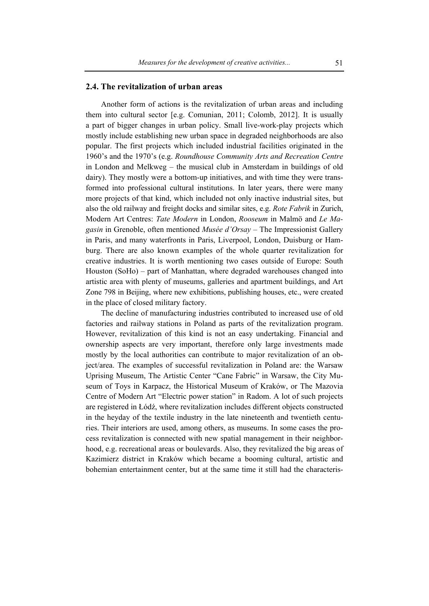### **2.4. The revitalization of urban areas**

Another form of actions is the revitalization of urban areas and including them into cultural sector [e.g. Comunian, 2011; Colomb, 2012]. It is usually a part of bigger changes in urban policy. Small live-work-play projects which mostly include establishing new urban space in degraded neighborhoods are also popular. The first projects which included industrial facilities originated in the 1960's and the 1970's (e.g. *Roundhouse Community Arts and Recreation Centre*  in London and Melkweg – the musical club in Amsterdam in buildings of old dairy). They mostly were a bottom-up initiatives, and with time they were transformed into professional cultural institutions. In later years, there were many more projects of that kind, which included not only inactive industrial sites, but also the old railway and freight docks and similar sites, e.g. *Rote Fabrik* in Zurich, Modern Art Centres: *Tate Modern* in London, *Rooseum* in Malmö and *Le Magasin* in Grenoble, often mentioned *Musée d'Orsay* – The Impressionist Gallery in Paris, and many waterfronts in Paris, Liverpool, London, Duisburg or Hamburg. There are also known examples of the whole quarter revitalization for creative industries. It is worth mentioning two cases outside of Europe: South Houston (SoHo) – part of Manhattan, where degraded warehouses changed into artistic area with plenty of museums, galleries and apartment buildings, and Art Zone 798 in Beijing, where new exhibitions, publishing houses, etc., were created in the place of closed military factory.

The decline of manufacturing industries contributed to increased use of old factories and railway stations in Poland as parts of the revitalization program. However, revitalization of this kind is not an easy undertaking. Financial and ownership aspects are very important, therefore only large investments made mostly by the local authorities can contribute to major revitalization of an object/area. The examples of successful revitalization in Poland are: the Warsaw Uprising Museum, The Artistic Center "Cane Fabric" in Warsaw, the City Museum of Toys in Karpacz, the Historical Museum of Kraków, or The Mazovia Centre of Modern Art "Electric power station" in Radom. A lot of such projects are registered in Łódź, where revitalization includes different objects constructed in the heyday of the textile industry in the late nineteenth and twentieth centuries. Their interiors are used, among others, as museums. In some cases the process revitalization is connected with new spatial management in their neighborhood, e.g. recreational areas or boulevards. Also, they revitalized the big areas of Kazimierz district in Kraków which became a booming cultural, artistic and bohemian entertainment center, but at the same time it still had the characteris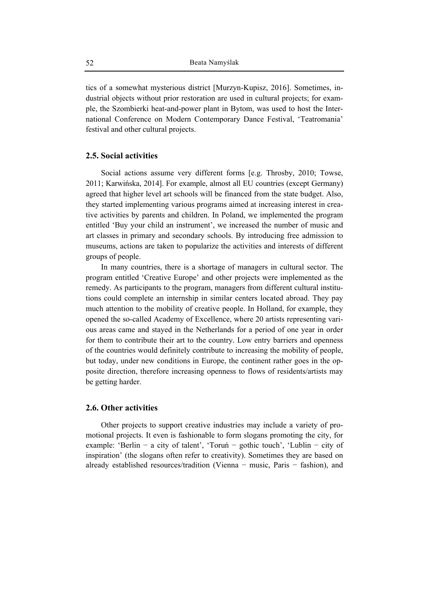tics of a somewhat mysterious district [Murzyn-Kupisz, 2016]. Sometimes, industrial objects without prior restoration are used in cultural projects; for example, the Szombierki heat-and-power plant in Bytom, was used to host the International Conference on Modern Contemporary Dance Festival, 'Teatromania' festival and other cultural projects.

### **2.5. Social activities**

Social actions assume very different forms [e.g. Throsby, 2010; Towse, 2011; Karwińska, 2014]. For example, almost all EU countries (except Germany) agreed that higher level art schools will be financed from the state budget. Also, they started implementing various programs aimed at increasing interest in creative activities by parents and children. In Poland, we implemented the program entitled 'Buy your child an instrument', we increased the number of music and art classes in primary and secondary schools. By introducing free admission to museums, actions are taken to popularize the activities and interests of different groups of people.

In many countries, there is a shortage of managers in cultural sector. The program entitled 'Creative Europe' and other projects were implemented as the remedy. As participants to the program, managers from different cultural institutions could complete an internship in similar centers located abroad. They pay much attention to the mobility of creative people. In Holland, for example, they opened the so-called Academy of Excellence, where 20 artists representing various areas came and stayed in the Netherlands for a period of one year in order for them to contribute their art to the country. Low entry barriers and openness of the countries would definitely contribute to increasing the mobility of people, but today, under new conditions in Europe, the continent rather goes in the opposite direction, therefore increasing openness to flows of residents/artists may be getting harder.

### **2.6. Other activities**

Other projects to support creative industries may include a variety of promotional projects. It even is fashionable to form slogans promoting the city, for example: 'Berlin − a city of talent', 'Toruń − gothic touch', 'Lublin − city of inspiration' (the slogans often refer to creativity). Sometimes they are based on already established resources/tradition (Vienna − music, Paris − fashion), and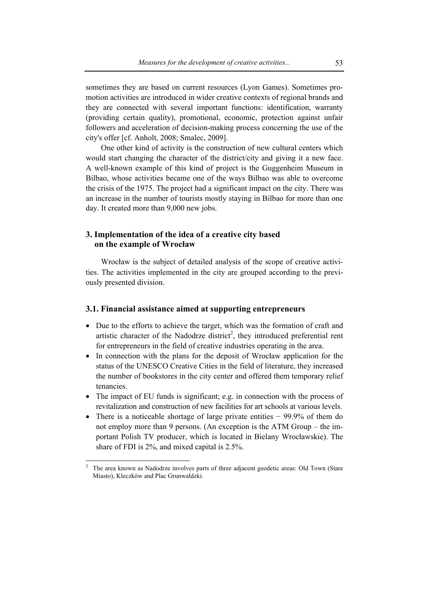sometimes they are based on current resources (Lyon Games). Sometimes promotion activities are introduced in wider creative contexts of regional brands and they are connected with several important functions: identification, warranty (providing certain quality), promotional, economic, protection against unfair followers and acceleration of decision-making process concerning the use of the city's offer [cf. Anholt, 2008; Smalec, 2009].

One other kind of activity is the construction of new cultural centers which would start changing the character of the district/city and giving it a new face. A well-known example of this kind of project is the Guggenheim Museum in Bilbao, whose activities became one of the ways Bilbao was able to overcome the crisis of the 1975. The project had a significant impact on the city. There was an increase in the number of tourists mostly staying in Bilbao for more than one day. It created more than 9,000 new jobs.

# **3. Implementation of the idea of a creative city based on the example of Wrocław**

Wrocław is the subject of detailed analysis of the scope of creative activities. The activities implemented in the city are grouped according to the previously presented division.

### **3.1. Financial assistance aimed at supporting entrepreneurs**

- Due to the efforts to achieve the target, which was the formation of craft and artistic character of the Nadodrze district<sup>2</sup>, they introduced preferential rent for entrepreneurs in the field of creative industries operating in the area.
- In connection with the plans for the deposit of Wrocław application for the status of the UNESCO Creative Cities in the field of literature, they increased the number of bookstores in the city center and offered them temporary relief tenancies.
- The impact of EU funds is significant; e.g. in connection with the process of revitalization and construction of new facilities for art schools at various levels.
- There is a noticeable shortage of large private entities − 99.9% of them do not employ more than 9 persons. (An exception is the ATM Group – the important Polish TV producer, which is located in Bielany Wrocławskie). The share of FDI is 2%, and mixed capital is 2.5%.

 $\overline{a}$ 

<sup>2</sup> The area known as Nadodrze involves parts of three adjacent geodetic areas: Old Town (Stare Miasto), Kleczków and Plac Grunwaldzki.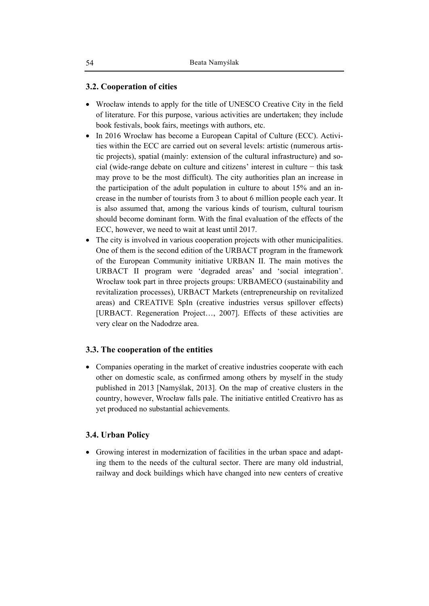# **3.2. Cooperation of cities**

- Wrocław intends to apply for the title of UNESCO Creative City in the field of literature. For this purpose, various activities are undertaken; they include book festivals, book fairs, meetings with authors, etc.
- In 2016 Wrocław has become a European Capital of Culture (ECC). Activities within the ECC are carried out on several levels: artistic (numerous artistic projects), spatial (mainly: extension of the cultural infrastructure) and social (wide-range debate on culture and citizens' interest in culture − this task may prove to be the most difficult). The city authorities plan an increase in the participation of the adult population in culture to about 15% and an increase in the number of tourists from 3 to about 6 million people each year. It is also assumed that, among the various kinds of tourism, cultural tourism should become dominant form. With the final evaluation of the effects of the ECC, however, we need to wait at least until 2017.
- The city is involved in various cooperation projects with other municipalities. One of them is the second edition of the URBACT program in the framework of the European Community initiative URBAN II. The main motives the URBACT II program were 'degraded areas' and 'social integration'. Wrocław took part in three projects groups: URBAMECO (sustainability and revitalization processes), URBACT Markets (entrepreneurship on revitalized areas) and CREATIVE SpIn (creative industries versus spillover effects) [URBACT. Regeneration Project…, 2007]. Effects of these activities are very clear on the Nadodrze area.

# **3.3. The cooperation of the entities**

• Companies operating in the market of creative industries cooperate with each other on domestic scale, as confirmed among others by myself in the study published in 2013 [Namyślak, 2013]. On the map of creative clusters in the country, however, Wrocław falls pale. The initiative entitled Creativro has as yet produced no substantial achievements.

# **3.4. Urban Policy**

• Growing interest in modernization of facilities in the urban space and adapting them to the needs of the cultural sector. There are many old industrial, railway and dock buildings which have changed into new centers of creative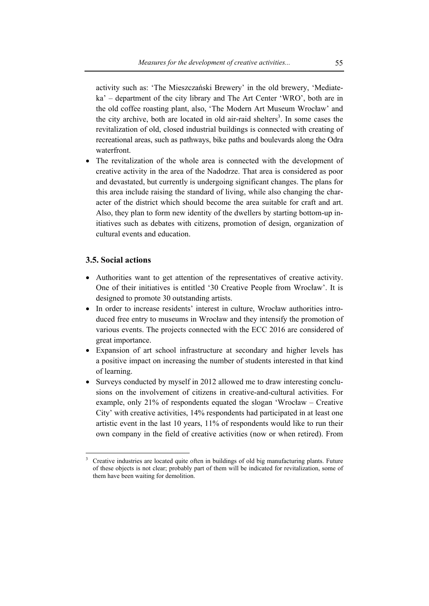activity such as: 'The Mieszczański Brewery' in the old brewery, 'Mediateka' – department of the city library and The Art Center 'WRO', both are in the old coffee roasting plant, also, 'The Modern Art Museum Wrocław' and the city archive, both are located in old air-raid shelters<sup>3</sup>. In some cases the revitalization of old, closed industrial buildings is connected with creating of recreational areas, such as pathways, bike paths and boulevards along the Odra waterfront.

The revitalization of the whole area is connected with the development of creative activity in the area of the Nadodrze. That area is considered as poor and devastated, but currently is undergoing significant changes. The plans for this area include raising the standard of living, while also changing the character of the district which should become the area suitable for craft and art. Also, they plan to form new identity of the dwellers by starting bottom-up initiatives such as debates with citizens, promotion of design, organization of cultural events and education.

# **3.5. Social actions**

 $\overline{a}$ 

- Authorities want to get attention of the representatives of creative activity. One of their initiatives is entitled '30 Creative People from Wrocław'. It is designed to promote 30 outstanding artists.
- In order to increase residents' interest in culture, Wrocław authorities introduced free entry to museums in Wrocław and they intensify the promotion of various events. The projects connected with the ECC 2016 are considered of great importance.
- Expansion of art school infrastructure at secondary and higher levels has a positive impact on increasing the number of students interested in that kind of learning.
- Surveys conducted by myself in 2012 allowed me to draw interesting conclusions on the involvement of citizens in creative-and-cultural activities. For example, only 21% of respondents equated the slogan 'Wrocław – Creative City' with creative activities, 14% respondents had participated in at least one artistic event in the last 10 years, 11% of respondents would like to run their own company in the field of creative activities (now or when retired). From

<sup>3</sup> Creative industries are located quite often in buildings of old big manufacturing plants. Future of these objects is not clear; probably part of them will be indicated for revitalization, some of them have been waiting for demolition.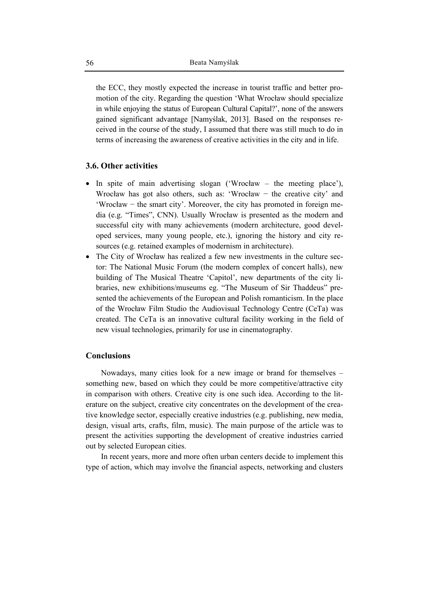the ECC, they mostly expected the increase in tourist traffic and better promotion of the city. Regarding the question 'What Wrocław should specialize in while enjoying the status of European Cultural Capital?', none of the answers gained significant advantage [Namyślak, 2013]. Based on the responses received in the course of the study, I assumed that there was still much to do in terms of increasing the awareness of creative activities in the city and in life.

# **3.6. Other activities**

- In spite of main advertising slogan ('Wrocław the meeting place'), Wrocław has got also others, such as: 'Wrocław − the creative city' and 'Wrocław − the smart city'. Moreover, the city has promoted in foreign media (e.g. "Times", CNN). Usually Wrocław is presented as the modern and successful city with many achievements (modern architecture, good developed services, many young people, etc.), ignoring the history and city resources (e.g. retained examples of modernism in architecture).
- The City of Wrocław has realized a few new investments in the culture sector: The National Music Forum (the modern complex of concert halls), new building of The Musical Theatre 'Capitol', new departments of the city libraries, new exhibitions/museums eg. "The Museum of Sir Thaddeus" presented the achievements of the European and Polish romanticism. In the place of the Wrocław Film Studio the Audiovisual Technology Centre (CeTa) was created. The CeTa is an innovative cultural facility working in the field of new visual technologies, primarily for use in cinematography.

### **Conclusions**

Nowadays, many cities look for a new image or brand for themselves – something new, based on which they could be more competitive/attractive city in comparison with others. Creative city is one such idea. According to the literature on the subject, creative city concentrates on the development of the creative knowledge sector, especially creative industries (e.g. publishing, new media, design, visual arts, crafts, film, music). The main purpose of the article was to present the activities supporting the development of creative industries carried out by selected European cities.

In recent years, more and more often urban centers decide to implement this type of action, which may involve the financial aspects, networking and clusters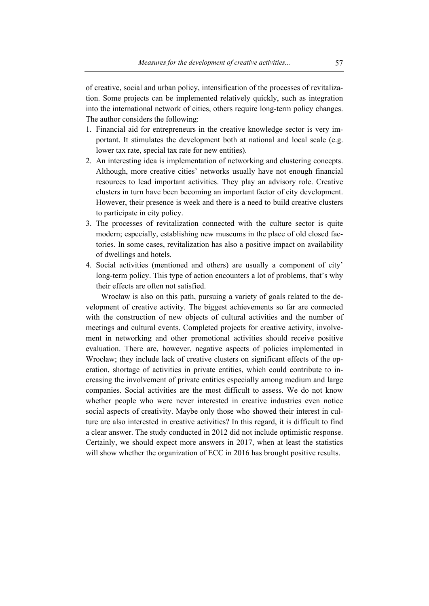of creative, social and urban policy, intensification of the processes of revitalization. Some projects can be implemented relatively quickly, such as integration into the international network of cities, others require long-term policy changes. The author considers the following:

- 1. Financial aid for entrepreneurs in the creative knowledge sector is very important. It stimulates the development both at national and local scale (e.g. lower tax rate, special tax rate for new entities).
- 2. An interesting idea is implementation of networking and clustering concepts. Although, more creative cities' networks usually have not enough financial resources to lead important activities. They play an advisory role. Creative clusters in turn have been becoming an important factor of city development. However, their presence is week and there is a need to build creative clusters to participate in city policy.
- 3. The processes of revitalization connected with the culture sector is quite modern; especially, establishing new museums in the place of old closed factories. In some cases, revitalization has also a positive impact on availability of dwellings and hotels.
- 4. Social activities (mentioned and others) are usually a component of city' long-term policy. This type of action encounters a lot of problems, that's why their effects are often not satisfied.

Wrocław is also on this path, pursuing a variety of goals related to the development of creative activity. The biggest achievements so far are connected with the construction of new objects of cultural activities and the number of meetings and cultural events. Completed projects for creative activity, involvement in networking and other promotional activities should receive positive evaluation. There are, however, negative aspects of policies implemented in Wrocław; they include lack of creative clusters on significant effects of the operation, shortage of activities in private entities, which could contribute to increasing the involvement of private entities especially among medium and large companies. Social activities are the most difficult to assess. We do not know whether people who were never interested in creative industries even notice social aspects of creativity. Maybe only those who showed their interest in culture are also interested in creative activities? In this regard, it is difficult to find a clear answer. The study conducted in 2012 did not include optimistic response. Certainly, we should expect more answers in 2017, when at least the statistics will show whether the organization of ECC in 2016 has brought positive results.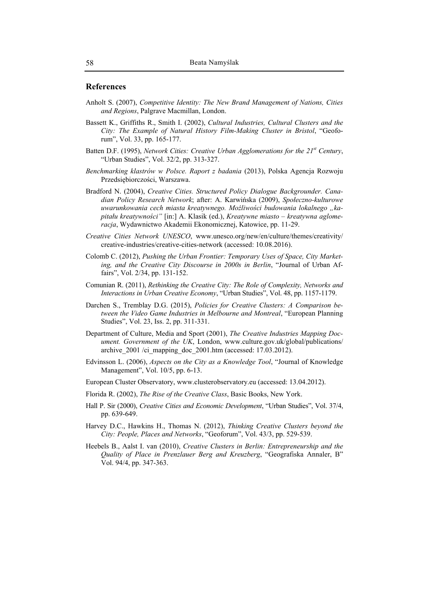### **References**

- Anholt S. (2007), *Competitive Identity: The New Brand Management of Nations, Cities and Regions*, Palgrave Macmillan, London.
- Bassett K., Griffiths R., Smith I. (2002), *Cultural Industries, Cultural Clusters and the City: The Example of Natural History Film-Making Cluster in Bristol*, "Geoforum", Vol. 33, pp. 165-177.
- Batten D.F. (1995), *Network Cities: Creative Urban Agglomerations for the 21<sup>st</sup> Century*, "Urban Studies", Vol. 32/2, pp. 313-327.
- *Benchmarking klastrów w Polsce. Raport z badania* (2013), Polska Agencja Rozwoju Przedsiębiorczości, Warszawa.
- Bradford N. (2004), *Creative Cities. Structured Policy Dialogue Backgrounder. Canadian Policy Research Network*; after: A. Karwińska (2009), *Społeczno-kulturowe uwarunkowania cech miasta kreatywnego. Możliwości budowania lokalnego "kapitału kreatywności"* [in:] A. Klasik (ed.), *Kreatywne miasto – kreatywna aglomeracja*, Wydawnictwo Akademii Ekonomicznej, Katowice, pp. 11-29.
- *Creative Cities Network UNESCO*, www.unesco.org/new/en/culture/themes/creativity/ creative-industries/creative-cities-network (accessed: 10.08.2016).
- Colomb C. (2012), *Pushing the Urban Frontier: Temporary Uses of Space, City Marketing, and the Creative City Discourse in 2000s in Berlin*, "Journal of Urban Affairs", Vol. 2/34, pp. 131-152.
- Comunian R. (2011), *Rethinking the Creative City: The Role of Complexity, Networks and Interactions in Urban Creative Economy*, "Urban Studies", Vol. 48, pp. 1157-1179.
- Darchen S., Tremblay D.G. (2015), *Policies for Creative Clusters: A Comparison between the Video Game Industries in Melbourne and Montreal*, "European Planning Studies", Vol. 23, Iss. 2, pp. 311-331.
- Department of Culture, Media and Sport (2001), *The Creative Industries Mapping Document. Government of the UK*, London, www.culture.gov.uk/global/publications/ archive\_2001 /ci\_mapping\_doc\_2001.htm (accessed: 17.03.2012).
- Edvinsson L. (2006), *Aspects on the City as a Knowledge Tool*, "Journal of Knowledge Management", Vol. 10/5, pp. 6-13.
- European Cluster Observatory, www.clusterobservatory.eu (accessed: 13.04.2012).
- Florida R. (2002), *The Rise of the Creative Class*, Basic Books, New York.
- Hall P. Sir (2000), *Creative Cities and Economic Development*, "Urban Studies", Vol. 37/4, pp. 639-649.
- Harvey D.C., Hawkins H., Thomas N. (2012), *Thinking Creative Clusters beyond the City: People, Places and Networks*, "Geoforum", Vol. 43/3, pp. 529-539.
- Heebels B., Aalst I. van (2010), *Creative Clusters in Berlin: Entrepreneurship and the Quality of Place in Prenzlauer Berg and Kreuzberg*, "Geografiska Annaler, B" Vol. 94/4, pp. 347-363.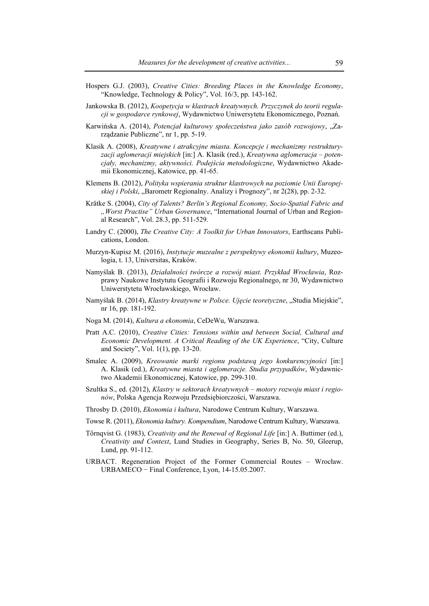- Hospers G.J. (2003), *Creative Cities: Breeding Places in the Knowledge Economy*, "Knowledge, Technology & Policy", Vol. 16/3, pp. 143-162.
- Jankowska B. (2012), *Koopetycja w klastrach kreatywnych. Przyczynek do teorii regulacji w gospodarce rynkowej*, Wydawnictwo Uniwersytetu Ekonomicznego, Poznań.
- Karwińska A. (2014), *Potencjał kulturowy społeczeństwa jako zasób rozwojowy*, "Zarządzanie Publiczne", nr 1, pp. 5-19.
- Klasik A. (2008), *Kreatywne i atrakcyjne miasta. Koncepcje i mechanizmy restrukturyzacji aglomeracji miejskich* [in:] A. Klasik (red.), *Kreatywna aglomeracja – potencjały, mechanizmy, aktywności. Podejścia metodologiczne*, Wydawnictwo Akademii Ekonomicznej, Katowice, pp. 41-65.
- Klemens B. (2012), *Polityka wspierania struktur klastrowych na poziomie Unii Europejskiej i Polski*, "Barometr Regionalny. Analizy i Prognozy", nr 2(28), pp. 2-32.
- Krätke S. (2004), *City of Talents? Berlin's Regional Economy, Socio-Spatial Fabric and "Worst Practise" Urban Governance*, "International Journal of Urban and Regional Research", Vol. 28.3, pp. 511-529.
- Landry C. (2000), *The Creative City: A Toolkit for Urban Innovators*, Earthscans Publications, London.
- Murzyn-Kupisz M. (2016), *Instytucje muzealne z perspektywy ekonomii kultury*, Muzeologia, t. 13, Universitas, Kraków.
- Namyślak B. (2013), *Działalności twórcze a rozwój miast. Przykład Wrocławia*, Rozprawy Naukowe Instytutu Geografii i Rozwoju Regionalnego, nr 30, Wydawnictwo Uniwerstytetu Wrocławskiego, Wrocław.
- Namyślak B. (2014), *Klastry kreatywne w Polsce. Ujęcie teoretyczne*, "Studia Miejskie", nr 16, pp. 181-192.
- Noga M. (2014), *Kultura a ekonomia*, CeDeWu, Warszawa.
- Pratt A.C. (2010), *Creative Cities: Tensions within and between Social, Cultural and Economic Development. A Critical Reading of the UK Experience*, "City, Culture and Society", Vol. 1(1), pp. 13-20.
- Smalec A. (2009), *Kreowanie marki regionu podstawą jego konkurencyjności* [in:] A. Klasik (ed.), *Kreatywne miasta i aglomeracje. Studia przypadków*, Wydawnictwo Akademii Ekonomicznej, Katowice, pp. 299-310.
- Szultka S., ed. (2012), *Klastry w sektorach kreatywnych motory rozwoju miast i regionów*, Polska Agencja Rozwoju Przedsiębiorczości, Warszawa.
- Throsby D. (2010), *Ekonomia i kultura*, Narodowe Centrum Kultury, Warszawa.
- Towse R. (2011), *Ekonomia kultury. Kompendium*, Narodowe Centrum Kultury, Warszawa.
- Tőrnqvist G. (1983), *Creativity and the Renewal of Regional Life* [in:] A. Buttimer (ed.), *Creativity and Context*, Lund Studies in Geography, Series B, No. 50, Gleerup, Lund, pp. 91-112.
- URBACT. Regeneration Project of the Former Commercial Routes Wrocław. URBAMECO − Final Conference, Lyon, 14-15.05.2007.